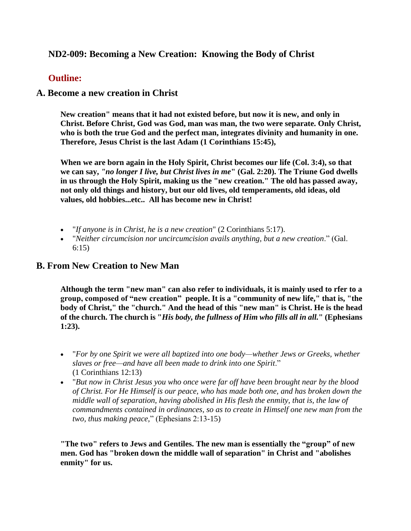# **ND2-009: Becoming a New Creation: Knowing the Body of Christ**

## **Outline:**

## **A. Become a new creation in Christ**

**New creation" means that it had not existed before, but now it is new, and only in Christ. Before Christ, God was God, man was man, the two were separate. Only Christ, who is both the true God and the perfect man, integrates divinity and humanity in one. Therefore, Jesus Christ is the last Adam (1 Corinthians 15:45),**

**When we are born again in the Holy Spirit, Christ becomes our life (Col. 3:4), so that we can say,** *"no longer I live, but Christ lives in me***" (Gal. 2:20). The Triune God dwells in us through the Holy Spirit, making us the "new creation." The old has passed away, not only old things and history, but our old lives, old temperaments, old ideas, old values, old hobbies...etc.. All has become new in Christ!**

- "*If anyone is in Christ, he is a new creation*" (2 Corinthians 5:17).
- "*Neither circumcision nor uncircumcision avails anything, but a new creation*." (Gal. 6:15)

## **B. From New Creation to New Man**

**Although the term "new man" can also refer to individuals, it is mainly used to rfer to a group, composed of "new creation" people. It is a "community of new life," that is, "the body of Christ," the "church." And the head of this "new man" is Christ. He is the head of the church. The church is "***His body, the fullness of Him who fills all in all.***" (Ephesians 1:23).**

- "*For by one Spirit we were all baptized into one body—whether Jews or Greeks, whether slaves or free—and have all been made to drink into one Spirit*." (1 Corinthians 12:13)
- "*But now in Christ Jesus you who once were far off have been brought near by the blood of Christ. For He Himself is our peace, who has made both one, and has broken down the middle wall of separation, having abolished in His flesh the enmity, that is, the law of commandments contained in ordinances, so as to create in Himself one new man from the two, thus making peace,*" (Ephesians 2:13-15)

**"The two" refers to Jews and Gentiles. The new man is essentially the "group" of new men. God has "broken down the middle wall of separation" in Christ and "abolishes enmity" for us.**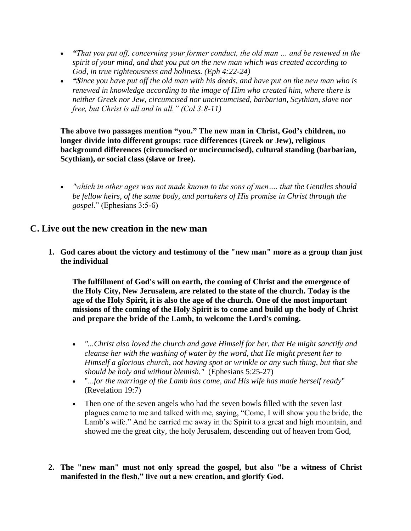- *"That you put off, concerning your former conduct, the old man … and be renewed in the spirit of your mind, and that you put on the new man which was created according to God, in true righteousness and holiness. (Eph 4:22-24)*
- *"Since you have put off the old man with his deeds, and have put on the new man who is renewed in knowledge according to the image of Him who created him, where there is neither Greek nor Jew, circumcised nor uncircumcised, barbarian, Scythian, slave nor free, but Christ is all and in all." (Col 3:8-11)*

**The above two passages mention "you." The new man in Christ, God's children, no longer divide into different groups: race differences (Greek or Jew), religious background differences (circumcised or uncircumcised), cultural standing (barbarian, Scythian), or social class (slave or free).**

• *"which in other ages was not made known to the sons of men…. that the Gentiles should be fellow heirs, of the same body, and partakers of His promise in Christ through the gospel*." (Ephesians 3:5-6)

## **C. Live out the new creation in the new man**

**1. God cares about the victory and testimony of the "new man" more as a group than just the individual**

**The fulfillment of God's will on earth, the coming of Christ and the emergence of the Holy City, New Jerusalem, are related to the state of the church. Today is the age of the Holy Spirit, it is also the age of the church. One of the most important missions of the coming of the Holy Spirit is to come and build up the body of Christ and prepare the bride of the Lamb, to welcome the Lord's coming.**

- *"...Christ also loved the church and gave Himself for her, that He might sanctify and cleanse her with the washing of water by the word, that He might present her to Himself a glorious church, not having spot or wrinkle or any such thing, but that she should be holy and without blemish."* (Ephesians 5:25-27)
- "...*for the marriage of the Lamb has come, and His wife has made herself ready*" (Revelation 19:7)
- Then one of the seven angels who had the seven bowls filled with the seven last plagues came to me and talked with me, saying, "Come, I will show you the bride, the Lamb's wife." And he carried me away in the Spirit to a great and high mountain, and showed me the great city, the holy Jerusalem, descending out of heaven from God,
- **2. The "new man" must not only spread the gospel, but also "be a witness of Christ manifested in the flesh," live out a new creation, and glorify God.**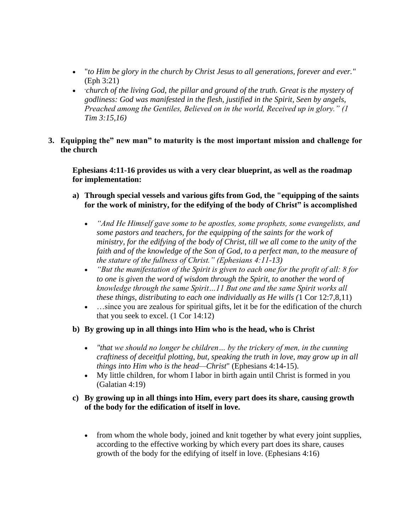- "*to Him be glory in the church by Christ Jesus to all generations, forever and ever."* (Eph 3:21)
- **"***church of the living God, the pillar and ground of the truth. Great is the mystery of godliness: God was manifested in the flesh, justified in the Spirit, Seen by angels, Preached among the Gentiles, Believed on in the world, Received up in glory." (1 Tim 3:15,16)*
- **3. Equipping the" new man" to maturity is the most important mission and challenge for the church**

**Ephesians 4:11-16 provides us with a very clear blueprint, as well as the roadmap for implementation:**

- **a) Through special vessels and various gifts from God, the "equipping of the saints for the work of ministry, for the edifying of the body of Christ" is accomplished**
	- *"And He Himself gave some to be apostles, some prophets, some evangelists, and some pastors and teachers, for the equipping of the saints for the work of ministry, for the edifying of the body of Christ, till we all come to the unity of the faith and of the knowledge of the Son of God, to a perfect man, to the measure of the stature of the fullness of Christ." (Ephesians 4:11-13)*
	- *"But the manifestation of the Spirit is given to each one for the profit of all: 8 for to one is given the word of wisdom through the Spirit, to another the word of knowledge through the same Spirit…11 But one and the same Spirit works all these things, distributing to each one individually as He wills (*1 Cor 12:7,8,11)
	- …since you are zealous for spiritual gifts, let it be for the edification of the church that you seek to excel. (1 Cor 14:12)
- **b) By growing up in all things into Him who is the head, who is Christ**
	- *"that we should no longer be children… by the trickery of men, in the cunning craftiness of deceitful plotting, but, speaking the truth in love, may grow up in all things into Him who is the head—Christ*" (Ephesians 4:14-15).
	- My little children, for whom I labor in birth again until Christ is formed in you (Galatian 4:19)

## **c) By growing up in all things into Him, every part does its share, causing growth of the body for the edification of itself in love.**

• from whom the whole body, joined and knit together by what every joint supplies, according to the effective working by which every part does its share, causes growth of the body for the edifying of itself in love. (Ephesians 4:16)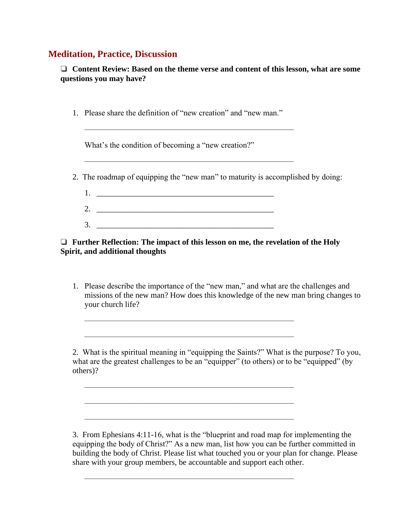# **Meditation, Practice, Discussion**

❏ **Content Review: Based on the theme verse and content of this lesson, what are some questions you may have?**

1. Please share the definition of "new creation" and "new man."

 $\frac{1}{\sqrt{2}}$  , and the contract of the contract of the contract of the contract of the contract of the contract of the contract of the contract of the contract of the contract of the contract of the contract of the contra

 $\frac{1}{\sqrt{2}}$  , and the contract of the contract of the contract of the contract of the contract of the contract of the contract of the contract of the contract of the contract of the contract of the contract of the contra

What's the condition of becoming a "new creation?"

- 2. The roadmap of equipping the "new man" to maturity is accomplished by doing:
	- $1.$  $2.$  $3.$

## ❏ **Further Reflection: The impact of this lesson on me, the revelation of the Holy Spirit, and additional thoughts**

 $\frac{1}{\sqrt{2}}$  , and the contract of the contract of the contract of the contract of the contract of the contract of the contract of the contract of the contract of the contract of the contract of the contract of the contra

 $\frac{1}{\sqrt{2}}$  , and the contract of the contract of the contract of the contract of the contract of the contract of the contract of the contract of the contract of the contract of the contract of the contract of the contra

 $\frac{1}{\sqrt{2}}$  , and the contract of the contract of the contract of the contract of the contract of the contract of the contract of the contract of the contract of the contract of the contract of the contract of the contra

 $\frac{1}{\sqrt{2}}$  , and the contract of the contract of the contract of the contract of the contract of the contract of the contract of the contract of the contract of the contract of the contract of the contract of the contra

 $\frac{1}{\sqrt{2}}$  , and the contract of the contract of the contract of the contract of the contract of the contract of the contract of the contract of the contract of the contract of the contract of the contract of the contra

1. Please describe the importance of the "new man," and what are the challenges and missions of the new man? How does this knowledge of the new man bring changes to your church life?

2. What is the spiritual meaning in "equipping the Saints?" What is the purpose? To you, what are the greatest challenges to be an "equipper" (to others) or to be "equipped" (by others)?

3. From Ephesians 4:11-16, what is the "blueprint and road map for implementing the equipping the body of Christ?" As a new man, list how you can be further committed in building the body of Christ. Please list what touched you or your plan for change. Please share with your group members, be accountable and support each other.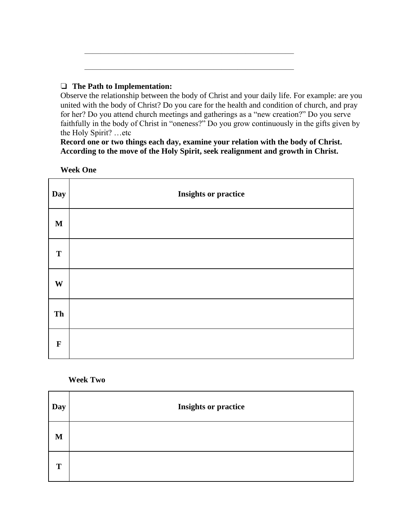## ❏ **The Path to Implementation:**

Observe the relationship between the body of Christ and your daily life. For example: are you united with the body of Christ? Do you care for the health and condition of church, and pray for her? Do you attend church meetings and gatherings as a "new creation?" Do you serve faithfully in the body of Christ in "oneness?" Do you grow continuously in the gifts given by the Holy Spirit? …etc

**Record one or two things each day, examine your relation with the body of Christ. According to the move of the Holy Spirit, seek realignment and growth in Christ.** 

 $\frac{1}{\sqrt{2}}$  , and the contract of the contract of the contract of the contract of the contract of the contract of the contract of the contract of the contract of the contract of the contract of the contract of the contra

 $\frac{1}{\sqrt{2}}$  , and the contract of the contract of the contract of the contract of the contract of the contract of the contract of the contract of the contract of the contract of the contract of the contract of the contra

#### **Week One**

| Day         | <b>Insights or practice</b> |
|-------------|-----------------------------|
| $\mathbf M$ |                             |
| T           |                             |
| W           |                             |
| Th          |                             |
| $\mathbf F$ |                             |

### **Week Two**

| Day | <b>Insights or practice</b> |
|-----|-----------------------------|
| M   |                             |
| T   |                             |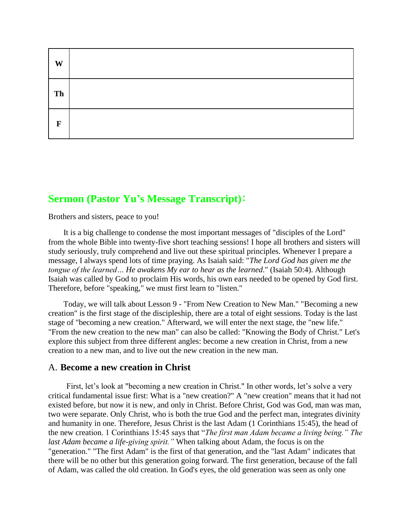| W  |  |
|----|--|
| Th |  |
| F  |  |

# **Sermon (Pastor Yu's Message Transcript)**:

Brothers and sisters, peace to you!

It is a big challenge to condense the most important messages of "disciples of the Lord" from the whole Bible into twenty-five short teaching sessions! I hope all brothers and sisters will study seriously, truly comprehend and live out these spiritual principles. Whenever I prepare a message, I always spend lots of time praying. As Isaiah said: "*The Lord God has given me the tongue of the learned… He awakens My ear to hear as the learned*." (Isaiah 50:4). Although Isaiah was called by God to proclaim His words, his own ears needed to be opened by God first. Therefore, before "speaking," we must first learn to "listen."

Today, we will talk about Lesson 9 - "From New Creation to New Man." "Becoming a new creation" is the first stage of the discipleship, there are a total of eight sessions. Today is the last stage of "becoming a new creation." Afterward, we will enter the next stage, the "new life." "From the new creation to the new man" can also be called: "Knowing the Body of Christ." Let's explore this subject from three different angles: become a new creation in Christ, from a new creation to a new man, and to live out the new creation in the new man.

#### A. **Become a new creation in Christ**

First, let's look at "becoming a new creation in Christ." In other words, let's solve a very critical fundamental issue first: What is a "new creation?" A "new creation" means that it had not existed before, but now it is new, and only in Christ. Before Christ, God was God, man was man, two were separate. Only Christ, who is both the true God and the perfect man, integrates divinity and humanity in one. Therefore, Jesus Christ is the last Adam (1 Corinthians 15:45), the head of the new creation. 1 Corinthians 15:45 says that "*The first man Adam became a living being." The last Adam became a life-giving spirit."* When talking about Adam, the focus is on the "generation." "The first Adam" is the first of that generation, and the "last Adam" indicates that there will be no other but this generation going forward. The first generation, because of the fall of Adam, was called the old creation. In God's eyes, the old generation was seen as only one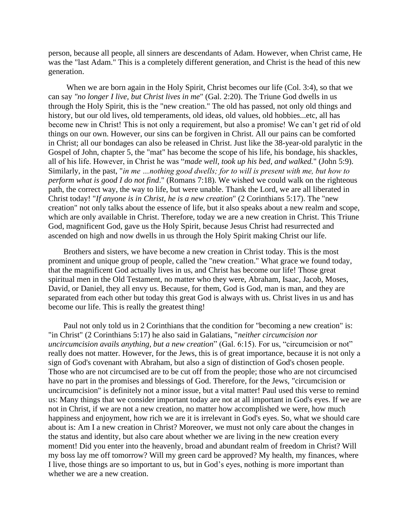person, because all people, all sinners are descendants of Adam. However, when Christ came, He was the "last Adam." This is a completely different generation, and Christ is the head of this new generation.

When we are born again in the Holy Spirit, Christ becomes our life (Col. 3:4), so that we can say *"no longer I live, but Christ lives in me*" (Gal. 2:20). The Triune God dwells in us through the Holy Spirit, this is the "new creation." The old has passed, not only old things and history, but our old lives, old temperaments, old ideas, old values, old hobbies...etc, all has become new in Christ! This is not only a requirement, but also a promise! We can't get rid of old things on our own. However, our sins can be forgiven in Christ. All our pains can be comforted in Christ; all our bondages can also be released in Christ. Just like the 38-year-old paralytic in the Gospel of John, chapter 5, the "mat" has become the scope of his life, his bondage, his shackles, all of his life. However, in Christ he was "*made well, took up his bed, and walked.*" (John 5:9). Similarly, in the past, "*in me …nothing good dwells; for to will is present with me, but how to perform what is good I do not find*." (Romans 7:18). We wished we could walk on the righteous path, the correct way, the way to life, but were unable. Thank the Lord, we are all liberated in Christ today! "*If anyone is in Christ, he is a new creation*" (2 Corinthians 5:17). The "new creation" not only talks about the essence of life, but it also speaks about a new realm and scope, which are only available in Christ. Therefore, today we are a new creation in Christ. This Triune God, magnificent God, gave us the Holy Spirit, because Jesus Christ had resurrected and ascended on high and now dwells in us through the Holy Spirit making Christ our life.

Brothers and sisters, we have become a new creation in Christ today. This is the most prominent and unique group of people, called the "new creation." What grace we found today, that the magnificent God actually lives in us, and Christ has become our life! Those great spiritual men in the Old Testament, no matter who they were, Abraham, Isaac, Jacob, Moses, David, or Daniel, they all envy us. Because, for them, God is God, man is man, and they are separated from each other but today this great God is always with us. Christ lives in us and has become our life. This is really the greatest thing!

Paul not only told us in 2 Corinthians that the condition for "becoming a new creation" is: "in Christ" (2 Corinthians 5:17) he also said in Galatians, "*neither circumcision nor uncircumcision avails anything, but a new creation*" (Gal. 6:15). For us, "circumcision or not" really does not matter. However, for the Jews, this is of great importance, because it is not only a sign of God's covenant with Abraham, but also a sign of distinction of God's chosen people. Those who are not circumcised are to be cut off from the people; those who are not circumcised have no part in the promises and blessings of God. Therefore, for the Jews, "circumcision or uncircumcision" is definitely not a minor issue, but a vital matter! Paul used this verse to remind us: Many things that we consider important today are not at all important in God's eyes. If we are not in Christ, if we are not a new creation, no matter how accomplished we were, how much happiness and enjoyment, how rich we are it is irrelevant in God's eyes. So, what we should care about is: Am I a new creation in Christ? Moreover, we must not only care about the changes in the status and identity, but also care about whether we are living in the new creation every moment! Did you enter into the heavenly, broad and abundant realm of freedom in Christ? Will my boss lay me off tomorrow? Will my green card be approved? My health, my finances, where I live, those things are so important to us, but in God's eyes, nothing is more important than whether we are a new creation.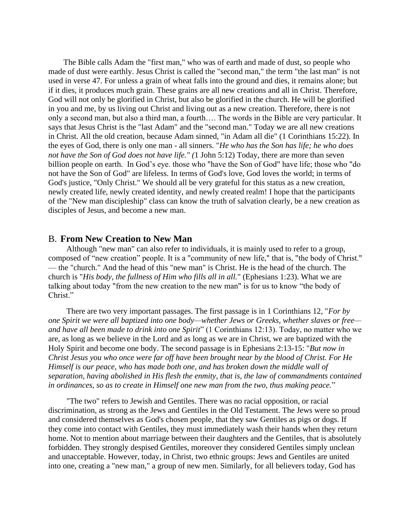The Bible calls Adam the "first man," who was of earth and made of dust, so people who made of dust were earthly. Jesus Christ is called the "second man," the term "the last man" is not used in verse 47. For unless a grain of wheat falls into the ground and dies, it remains alone; but if it dies, it produces much grain. These grains are all new creations and all in Christ. Therefore, God will not only be glorified in Christ, but also be glorified in the church. He will be glorified in you and me, by us living out Christ and living out as a new creation. Therefore, there is not only a second man, but also a third man, a fourth…. The words in the Bible are very particular. It says that Jesus Christ is the "last Adam" and the "second man." Today we are all new creations in Christ. All the old creation, because Adam sinned, "in Adam all die" (1 Corinthians 15:22). In the eyes of God, there is only one man - all sinners. "*He who has the Son has life; he who does not have the Son of God does not have life." (*1 John 5:12) Today, there are more than seven billion people on earth. In God's eye. those who "have the Son of God" have life; those who "do not have the Son of God" are lifeless. In terms of God's love, God loves the world; in terms of God's justice, "Only Christ." We should all be very grateful for this status as a new creation, newly created life, newly created identity, and newly created realm! I hope that the participants of the "New man discipleship" class can know the truth of salvation clearly, be a new creation as disciples of Jesus, and become a new man.

#### B. **From New Creation to New Man**

Although "new man" can also refer to individuals, it is mainly used to refer to a group, composed of "new creation" people. It is a "community of new life," that is, "the body of Christ." — the "church." And the head of this "new man" is Christ. He is the head of the church. The church is "*His body, the fullness of Him who fills all in all.*" (Ephesians 1:23). What we are talking about today "from the new creation to the new man" is for us to know "the body of Christ."

There are two very important passages. The first passage is in 1 Corinthians 12, "*For by one Spirit we were all baptized into one body—whether Jews or Greeks, whether slaves or free and have all been made to drink into one Spirit*" (1 Corinthians 12:13). Today, no matter who we are, as long as we believe in the Lord and as long as we are in Christ, we are baptized with the Holy Spirit and become one body. The second passage is in Ephesians 2:13-15: "*But now in Christ Jesus you who once were far off have been brought near by the blood of Christ. For He Himself is our peace, who has made both one, and has broken down the middle wall of separation, having abolished in His flesh the enmity, that is, the law of commandments contained in ordinances, so as to create in Himself one new man from the two, thus making peace.*"

"The two" refers to Jewish and Gentiles. There was no racial opposition, or racial discrimination, as strong as the Jews and Gentiles in the Old Testament. The Jews were so proud and considered themselves as God's chosen people, that they saw Gentiles as pigs or dogs. If they come into contact with Gentiles, they must immediately wash their hands when they return home. Not to mention about marriage between their daughters and the Gentiles, that is absolutely forbidden. They strongly despised Gentiles, moreover they considered Gentiles simply unclean and unacceptable. However, today, in Christ, two ethnic groups: Jews and Gentiles are united into one, creating a "new man," a group of new men. Similarly, for all believers today, God has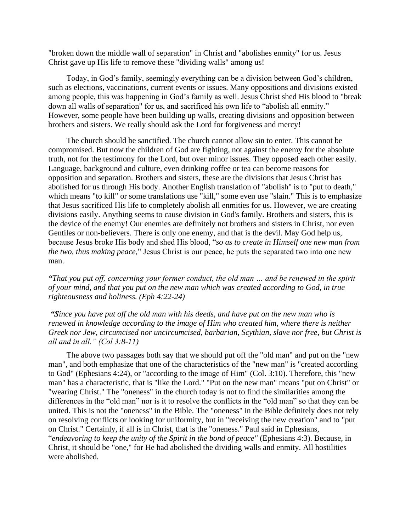"broken down the middle wall of separation" in Christ and "abolishes enmity" for us. Jesus Christ gave up His life to remove these "dividing walls" among us!

Today, in God's family, seemingly everything can be a division between God's children, such as elections, vaccinations, current events or issues. Many oppositions and divisions existed among people, this was happening in God's family as well. Jesus Christ shed His blood to "break down all walls of separation" for us, and sacrificed his own life to "abolish all enmity." However, some people have been building up walls, creating divisions and opposition between brothers and sisters. We really should ask the Lord for forgiveness and mercy!

The church should be sanctified. The church cannot allow sin to enter. This cannot be compromised. But now the children of God are fighting, not against the enemy for the absolute truth, not for the testimony for the Lord, but over minor issues. They opposed each other easily. Language, background and culture, even drinking coffee or tea can become reasons for opposition and separation. Brothers and sisters, these are the divisions that Jesus Christ has abolished for us through His body. Another English translation of "abolish" is to "put to death," which means "to kill" or some translations use "kill," some even use "slain." This is to emphasize that Jesus sacrificed His life to completely abolish all enmities for us. However, we are creating divisions easily. Anything seems to cause division in God's family. Brothers and sisters, this is the device of the enemy! Our enemies are definitely not brothers and sisters in Christ, nor even Gentiles or non-believers. There is only one enemy, and that is the devil. May God help us, because Jesus broke His body and shed His blood, "*so as to create in Himself one new man from the two, thus making peace,*" Jesus Christ is our peace, he puts the separated two into one new man.

*"That you put off, concerning your former conduct, the old man … and be renewed in the spirit of your mind, and that you put on the new man which was created according to God, in true righteousness and holiness. (Eph 4:22-24)*

*"Since you have put off the old man with his deeds, and have put on the new man who is renewed in knowledge according to the image of Him who created him, where there is neither Greek nor Jew, circumcised nor uncircumcised, barbarian, Scythian, slave nor free, but Christ is all and in all." (Col 3:8-11)*

The above two passages both say that we should put off the "old man" and put on the "new man", and both emphasize that one of the characteristics of the "new man" is "created according to God" (Ephesians 4:24), or "according to the image of Him" (Col. 3:10). Therefore, this "new man" has a characteristic, that is "like the Lord." "Put on the new man" means "put on Christ" or "wearing Christ." The "oneness" in the church today is not to find the similarities among the differences in the "old man" nor is it to resolve the conflicts in the "old man" so that they can be united. This is not the "oneness" in the Bible. The "oneness" in the Bible definitely does not rely on resolving conflicts or looking for uniformity, but in "receiving the new creation" and to "put on Christ." Certainly, if all is in Christ, that is the "oneness." Paul said in Ephesians, "*endeavoring to keep the unity of the Spirit in the bond of peace"* (Ephesians 4:3). Because, in Christ, it should be "one," for He had abolished the dividing walls and enmity. All hostilities were abolished.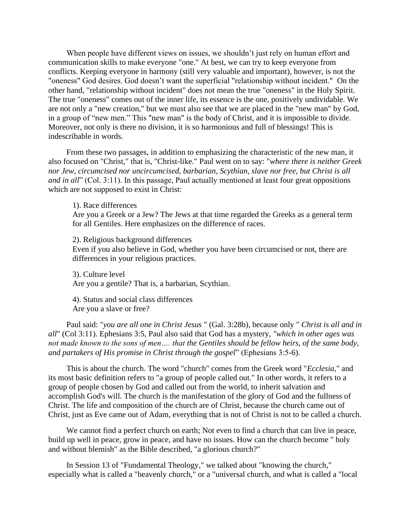When people have different views on issues, we shouldn't just rely on human effort and communication skills to make everyone "one." At best, we can try to keep everyone from conflicts. Keeping everyone in harmony (still very valuable and important), however, is not the "oneness" God desires. God doesn't want the superficial "relationship without incident." On the other hand, "relationship without incident" does not mean the true "oneness" in the Holy Spirit. The true "oneness" comes out of the inner life, its essence is the one, positively undividable. We are not only a "new creation," but we must also see that we are placed in the "new man" by God, in a group of "new men." This "new man" is the body of Christ, and it is impossible to divide. Moreover, not only is there no division, it is so harmonious and full of blessings! This is indescribable in words.

From these two passages, in addition to emphasizing the characteristic of the new man, it also focused on "Christ," that is, "Christ-like." Paul went on to say: "*where there is neither Greek nor Jew, circumcised nor uncircumcised, barbarian, Scythian, slave nor free, but Christ is all and in all*" (Col. 3:11). In this passage, Paul actually mentioned at least four great oppositions which are not supposed to exist in Christ:

1). Race differences

Are you a Greek or a Jew? The Jews at that time regarded the Greeks as a general term for all Gentiles. Here emphasizes on the difference of races.

2). Religious background differences

Even if you also believe in God, whether you have been circumcised or not, there are differences in your religious practices.

3). Culture level Are you a gentile? That is, a barbarian, Scythian.

4). Status and social class differences Are you a slave or free?

Paul said: "*you are all one in Christ Jesus* " (Gal. 3:28b), because only " *Christ is all and in all*" (Col 3:11). Ephesians 3:5, Paul also said that God has a mystery, *"which in other ages was not made known to the sons of men…. that the Gentiles should be fellow heirs, of the same body, and partakers of His promise in Christ through the gospel*" (Ephesians 3:5-6).

This is about the church. The word "church" comes from the Greek word "*Ecclesia*," and its most basic definition refers to "a group of people called out." In other words, it refers to a group of people chosen by God and called out from the world, to inherit salvation and accomplish God's will. The church is the manifestation of the glory of God and the fullness of Christ. The life and composition of the church are of Christ, because the church came out of Christ, just as Eve came out of Adam, everything that is not of Christ is not to be called a church.

We cannot find a perfect church on earth; Not even to find a church that can live in peace, build up well in peace, grow in peace, and have no issues. How can the church become " holy and without blemish" as the Bible described, "a glorious church?"

In Session 13 of "Fundamental Theology," we talked about "knowing the church," especially what is called a "heavenly church," or a "universal church, and what is called a "local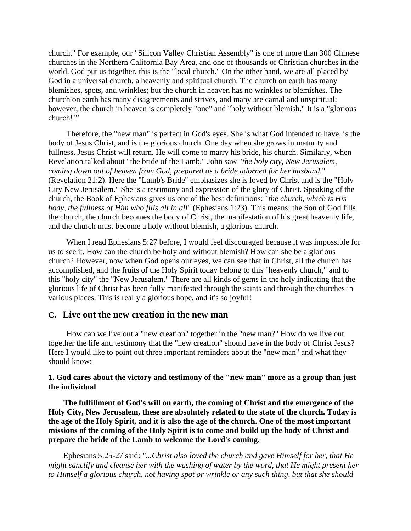church." For example, our "Silicon Valley Christian Assembly" is one of more than 300 Chinese churches in the Northern California Bay Area, and one of thousands of Christian churches in the world. God put us together, this is the "local church." On the other hand, we are all placed by God in a universal church, a heavenly and spiritual church. The church on earth has many blemishes, spots, and wrinkles; but the church in heaven has no wrinkles or blemishes. The church on earth has many disagreements and strives, and many are carnal and unspiritual; however, the church in heaven is completely "one" and "holy without blemish." It is a "glorious church!!"

Therefore, the "new man" is perfect in God's eyes. She is what God intended to have, is the body of Jesus Christ, and is the glorious church. One day when she grows in maturity and fullness, Jesus Christ will return. He will come to marry his bride, his church. Similarly, when Revelation talked about "the bride of the Lamb," John saw "*the holy city, New Jerusalem, coming down out of heaven from God, prepared as a bride adorned for her husband.*" (Revelation 21:2). Here the "Lamb's Bride" emphasizes she is loved by Christ and is the "Holy City New Jerusalem." She is a testimony and expression of the glory of Christ. Speaking of the church, the Book of Ephesians gives us one of the best definitions: *"the church, which is His body, the fullness of Him who fills all in all*" (Ephesians 1:23). This means: the Son of God fills the church, the church becomes the body of Christ, the manifestation of his great heavenly life, and the church must become a holy without blemish, a glorious church.

When I read Ephesians 5:27 before, I would feel discouraged because it was impossible for us to see it. How can the church be holy and without blemish? How can she be a glorious church? However, now when God opens our eyes, we can see that in Christ, all the church has accomplished, and the fruits of the Holy Spirit today belong to this "heavenly church," and to this "holy city" the "New Jerusalem." There are all kinds of gems in the holy indicating that the glorious life of Christ has been fully manifested through the saints and through the churches in various places. This is really a glorious hope, and it's so joyful!

## **C. Live out the new creation in the new man**

How can we live out a "new creation" together in the "new man?" How do we live out together the life and testimony that the "new creation" should have in the body of Christ Jesus? Here I would like to point out three important reminders about the "new man" and what they should know:

#### **1. God cares about the victory and testimony of the "new man" more as a group than just the individual**

**The fulfillment of God's will on earth, the coming of Christ and the emergence of the Holy City, New Jerusalem, these are absolutely related to the state of the church. Today is the age of the Holy Spirit, and it is also the age of the church. One of the most important missions of the coming of the Holy Spirit is to come and build up the body of Christ and prepare the bride of the Lamb to welcome the Lord's coming.**

Ephesians 5:25-27 said: *"...Christ also loved the church and gave Himself for her, that He might sanctify and cleanse her with the washing of water by the word, that He might present her to Himself a glorious church, not having spot or wrinkle or any such thing, but that she should*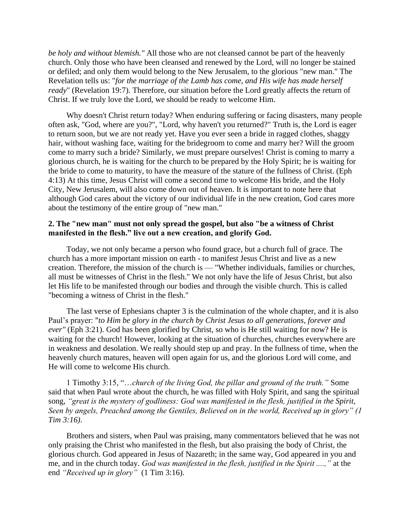*be holy and without blemish."* All those who are not cleansed cannot be part of the heavenly church. Only those who have been cleansed and renewed by the Lord, will no longer be stained or defiled; and only them would belong to the New Jerusalem, to the glorious "new man." The Revelation tells us: "*for the marriage of the Lamb has come, and His wife has made herself ready*" (Revelation 19:7). Therefore, our situation before the Lord greatly affects the return of Christ. If we truly love the Lord, we should be ready to welcome Him.

Why doesn't Christ return today? When enduring suffering or facing disasters, many people often ask, "God, where are you?", "Lord, why haven't you returned?" Truth is, the Lord is eager to return soon, but we are not ready yet. Have you ever seen a bride in ragged clothes, shaggy hair, without washing face, waiting for the bridegroom to come and marry her? Will the groom come to marry such a bride? Similarly, we must prepare ourselves! Christ is coming to marry a glorious church, he is waiting for the church to be prepared by the Holy Spirit; he is waiting for the bride to come to maturity, to have the measure of the stature of the fullness of Christ. (Eph 4:13) At this time, Jesus Christ will come a second time to welcome His bride, and the Holy City, New Jerusalem, will also come down out of heaven. It is important to note here that although God cares about the victory of our individual life in the new creation, God cares more about the testimony of the entire group of "new man."

#### **2. The "new man" must not only spread the gospel, but also "be a witness of Christ manifested in the flesh." live out a new creation, and glorify God.**

Today, we not only became a person who found grace, but a church full of grace. The church has a more important mission on earth - to manifest Jesus Christ and live as a new creation. Therefore, the mission of the church is — "Whether individuals, families or churches, all must be witnesses of Christ in the flesh." We not only have the life of Jesus Christ, but also let His life to be manifested through our bodies and through the visible church. This is called "becoming a witness of Christ in the flesh."

The last verse of Ephesians chapter 3 is the culmination of the whole chapter, and it is also Paul's prayer: "*to Him be glory in the church by Christ Jesus to all generations, forever and ever"* (Eph 3:21). God has been glorified by Christ, so who is He still waiting for now? He is waiting for the church! However, looking at the situation of churches, churches everywhere are in weakness and desolation. We really should step up and pray. In the fullness of time, when the heavenly church matures, heaven will open again for us, and the glorious Lord will come, and He will come to welcome His church.

1 Timothy 3:15, "…*church of the living God, the pillar and ground of the truth."* Some said that when Paul wrote about the church, he was filled with Holy Spirit, and sang the spiritual song, *"great is the mystery of godliness: God was manifested in the flesh, justified in the Spirit, Seen by angels, Preached among the Gentiles, Believed on in the world, Received up in glory" (1 Tim 3:16)*.

Brothers and sisters, when Paul was praising, many commentators believed that he was not only praising the Christ who manifested in the flesh, but also praising the body of Christ, the glorious church. God appeared in Jesus of Nazareth; in the same way, God appeared in you and me, and in the church today. *God was manifested in the flesh, justified in the Spirit ....,"* at the end *"Received up in glory"* (1 Tim 3:16).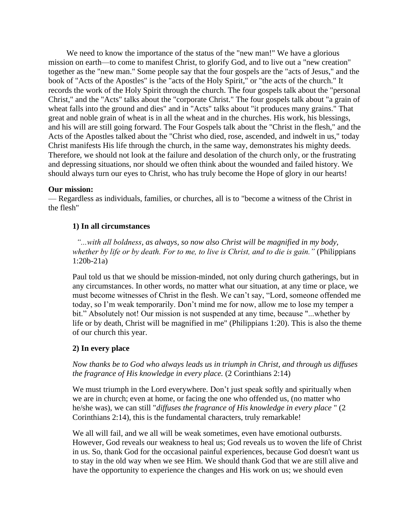We need to know the importance of the status of the "new man!" We have a glorious mission on earth—to come to manifest Christ, to glorify God, and to live out a "new creation" together as the "new man." Some people say that the four gospels are the "acts of Jesus," and the book of "Acts of the Apostles" is the "acts of the Holy Spirit," or "the acts of the church." It records the work of the Holy Spirit through the church. The four gospels talk about the "personal Christ," and the "Acts" talks about the "corporate Christ." The four gospels talk about "a grain of wheat falls into the ground and dies" and in "Acts" talks about "it produces many grains." That great and noble grain of wheat is in all the wheat and in the churches. His work, his blessings, and his will are still going forward. The Four Gospels talk about the "Christ in the flesh," and the Acts of the Apostles talked about the "Christ who died, rose, ascended, and indwelt in us," today Christ manifests His life through the church, in the same way, demonstrates his mighty deeds. Therefore, we should not look at the failure and desolation of the church only, or the frustrating and depressing situations, nor should we often think about the wounded and failed history. We should always turn our eyes to Christ, who has truly become the Hope of glory in our hearts!

#### **Our mission:**

— Regardless as individuals, families, or churches, all is to "become a witness of the Christ in the flesh"

#### **1) In all circumstances**

 *"...with all boldness, as always, so now also Christ will be magnified in my body, whether by life or by death. For to me, to live is Christ, and to die is gain."* (Philippians 1:20b-21a)

Paul told us that we should be mission-minded, not only during church gatherings, but in any circumstances. In other words, no matter what our situation, at any time or place, we must become witnesses of Christ in the flesh. We can't say, "Lord, someone offended me today, so I'm weak temporarily. Don't mind me for now, allow me to lose my temper a bit." Absolutely not! Our mission is not suspended at any time, because "...whether by life or by death, Christ will be magnified in me" (Philippians 1:20). This is also the theme of our church this year.

#### **2) In every place**

## *Now thanks be to God who always leads us in triumph in Christ, and through us diffuses the fragrance of His knowledge in every place.* (2 Corinthians 2:14)

We must triumph in the Lord everywhere. Don't just speak softly and spiritually when we are in church; even at home, or facing the one who offended us, (no matter who he/she was), we can still "*diffuses the fragrance of His knowledge in every place* " (2 Corinthians 2:14), this is the fundamental characters, truly remarkable!

We all will fail, and we all will be weak sometimes, even have emotional outbursts. However, God reveals our weakness to heal us; God reveals us to woven the life of Christ in us. So, thank God for the occasional painful experiences, because God doesn't want us to stay in the old way when we see Him. We should thank God that we are still alive and have the opportunity to experience the changes and His work on us; we should even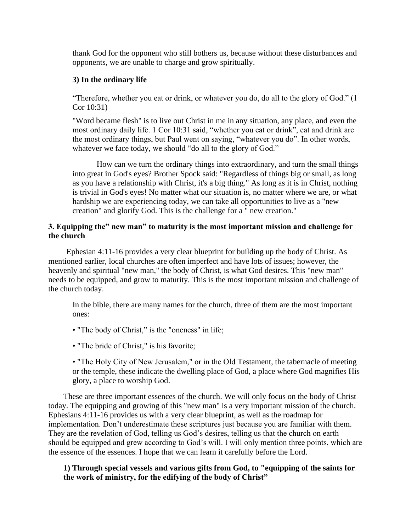thank God for the opponent who still bothers us, because without these disturbances and opponents, we are unable to charge and grow spiritually.

## **3) In the ordinary life**

"Therefore, whether you eat or drink, or whatever you do, do all to the glory of God." (1 Cor 10:31)

"Word became flesh" is to live out Christ in me in any situation, any place, and even the most ordinary daily life. 1 Cor 10:31 said, "whether you eat or drink", eat and drink are the most ordinary things, but Paul went on saying, "whatever you do". In other words, whatever we face today, we should "do all to the glory of God."

How can we turn the ordinary things into extraordinary, and turn the small things into great in God's eyes? Brother Spock said: "Regardless of things big or small, as long as you have a relationship with Christ, it's a big thing." As long as it is in Christ, nothing is trivial in God's eyes! No matter what our situation is, no matter where we are, or what hardship we are experiencing today, we can take all opportunities to live as a "new creation" and glorify God. This is the challenge for a " new creation."

### **3. Equipping the" new man" to maturity is the most important mission and challenge for the church**

Ephesian 4:11-16 provides a very clear blueprint for building up the body of Christ. As mentioned earlier, local churches are often imperfect and have lots of issues; however, the heavenly and spiritual "new man," the body of Christ, is what God desires. This "new man" needs to be equipped, and grow to maturity. This is the most important mission and challenge of the church today.

In the bible, there are many names for the church, three of them are the most important ones:

- "The body of Christ," is the "oneness" in life;
- "The bride of Christ," is his favorite;

• "The Holy City of New Jerusalem," or in the Old Testament, the tabernacle of meeting or the temple, these indicate the dwelling place of God, a place where God magnifies His glory, a place to worship God.

These are three important essences of the church. We will only focus on the body of Christ today. The equipping and growing of this "new man" is a very important mission of the church. Ephesians 4:11-16 provides us with a very clear blueprint, as well as the roadmap for implementation. Don't underestimate these scriptures just because you are familiar with them. They are the revelation of God, telling us God's desires, telling us that the church on earth should be equipped and grew according to God's will. I will only mention three points, which are the essence of the essences. I hope that we can learn it carefully before the Lord.

## **1) Through special vessels and various gifts from God, to "equipping of the saints for the work of ministry, for the edifying of the body of Christ"**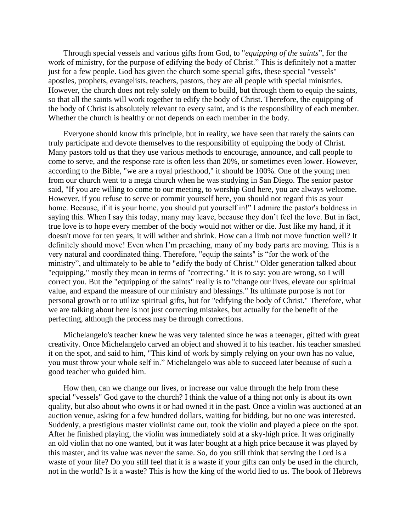Through special vessels and various gifts from God, to "*equipping of the saints*", for the work of ministry, for the purpose of edifying the body of Christ." This is definitely not a matter just for a few people. God has given the church some special gifts, these special "vessels" apostles, prophets, evangelists, teachers, pastors, they are all people with special ministries. However, the church does not rely solely on them to build, but through them to equip the saints, so that all the saints will work together to edify the body of Christ. Therefore, the equipping of the body of Christ is absolutely relevant to every saint, and is the responsibility of each member. Whether the church is healthy or not depends on each member in the body.

Everyone should know this principle, but in reality, we have seen that rarely the saints can truly participate and devote themselves to the responsibility of equipping the body of Christ. Many pastors told us that they use various methods to encourage, announce, and call people to come to serve, and the response rate is often less than 20%, or sometimes even lower. However, according to the Bible, "we are a royal priesthood," it should be 100%. One of the young men from our church went to a mega church when he was studying in San Diego. The senior pastor said, "If you are willing to come to our meeting, to worship God here, you are always welcome. However, if you refuse to serve or commit yourself here, you should not regard this as your home. Because, if it is your home, you should put yourself in!" I admire the pastor's boldness in saying this. When I say this today, many may leave, because they don't feel the love. But in fact, true love is to hope every member of the body would not wither or die. Just like my hand, if it doesn't move for ten years, it will wither and shrink. How can a limb not move function well? It definitely should move! Even when I'm preaching, many of my body parts are moving. This is a very natural and coordinated thing. Therefore, "equip the saints" is "for the work of the ministry", and ultimately to be able to "edify the body of Christ." Older generation talked about "equipping," mostly they mean in terms of "correcting." It is to say: you are wrong, so I will correct you. But the "equipping of the saints" really is to "change our lives, elevate our spiritual value, and expand the measure of our ministry and blessings." Its ultimate purpose is not for personal growth or to utilize spiritual gifts, but for "edifying the body of Christ." Therefore, what we are talking about here is not just correcting mistakes, but actually for the benefit of the perfecting, although the process may be through corrections.

Michelangelo's teacher knew he was very talented since he was a teenager, gifted with great creativity. Once Michelangelo carved an object and showed it to his teacher. his teacher smashed it on the spot, and said to him, "This kind of work by simply relying on your own has no value, you must throw your whole self in." Michelangelo was able to succeed later because of such a good teacher who guided him.

How then, can we change our lives, or increase our value through the help from these special "vessels" God gave to the church? I think the value of a thing not only is about its own quality, but also about who owns it or had owned it in the past. Once a violin was auctioned at an auction venue, asking for a few hundred dollars, waiting for bidding, but no one was interested. Suddenly, a prestigious master violinist came out, took the violin and played a piece on the spot. After he finished playing, the violin was immediately sold at a sky-high price. It was originally an old violin that no one wanted, but it was later bought at a high price because it was played by this master, and its value was never the same. So, do you still think that serving the Lord is a waste of your life? Do you still feel that it is a waste if your gifts can only be used in the church, not in the world? Is it a waste? This is how the king of the world lied to us. The book of Hebrews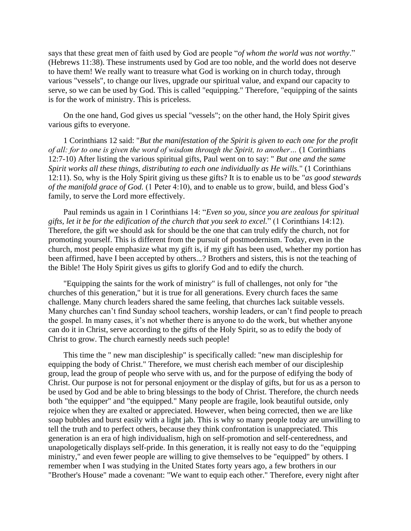says that these great men of faith used by God are people "*of whom the world was not worthy*." (Hebrews 11:38). These instruments used by God are too noble, and the world does not deserve to have them! We really want to treasure what God is working on in church today, through various "vessels", to change our lives, upgrade our spiritual value, and expand our capacity to serve, so we can be used by God. This is called "equipping." Therefore, "equipping of the saints is for the work of ministry. This is priceless.

On the one hand, God gives us special "vessels"; on the other hand, the Holy Spirit gives various gifts to everyone.

1 Corinthians 12 said: "*But the manifestation of the Spirit is given to each one for the profit of all: for to one is given the word of wisdom through the Spirit, to another…* (1 Corinthians 12:7-10) After listing the various spiritual gifts, Paul went on to say: " *But one and the same Spirit works all these things, distributing to each one individually as He wills.*" (1 Corinthians 12:11). So, why is the Holy Spirit giving us these gifts? It is to enable us to be "*as good stewards of the manifold grace of God.* (1 Peter 4:10), and to enable us to grow, build, and bless God's family, to serve the Lord more effectively.

Paul reminds us again in 1 Corinthians 14: "*Even so you, since you are zealous for spiritual gifts, let it be for the edification of the church that you seek to excel.*" (1 Corinthians 14:12). Therefore, the gift we should ask for should be the one that can truly edify the church, not for promoting yourself. This is different from the pursuit of postmodernism. Today, even in the church, most people emphasize what my gift is, if my gift has been used, whether my portion has been affirmed, have I been accepted by others...? Brothers and sisters, this is not the teaching of the Bible! The Holy Spirit gives us gifts to glorify God and to edify the church.

"Equipping the saints for the work of ministry" is full of challenges, not only for "the churches of this generation," but it is true for all generations. Every church faces the same challenge. Many church leaders shared the same feeling, that churches lack suitable vessels. Many churches can't find Sunday school teachers, worship leaders, or can't find people to preach the gospel. In many cases, it's not whether there is anyone to do the work, but whether anyone can do it in Christ, serve according to the gifts of the Holy Spirit, so as to edify the body of Christ to grow. The church earnestly needs such people!

This time the " new man discipleship" is specifically called: "new man discipleship for equipping the body of Christ." Therefore, we must cherish each member of our discipleship group, lead the group of people who serve with us, and for the purpose of edifying the body of Christ. Our purpose is not for personal enjoyment or the display of gifts, but for us as a person to be used by God and be able to bring blessings to the body of Christ. Therefore, the church needs both "the equipper" and "the equipped." Many people are fragile, look beautiful outside, only rejoice when they are exalted or appreciated. However, when being corrected, then we are like soap bubbles and burst easily with a light jab. This is why so many people today are unwilling to tell the truth and to perfect others, because they think confrontation is unappreciated. This generation is an era of high individualism, high on self-promotion and self-centeredness, and unapologetically displays self-pride. In this generation, it is really not easy to do the "equipping ministry," and even fewer people are willing to give themselves to be "equipped" by others. I remember when I was studying in the United States forty years ago, a few brothers in our "Brother's House" made a covenant: "We want to equip each other." Therefore, every night after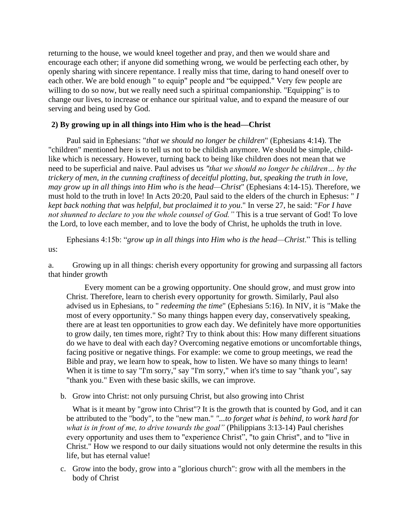returning to the house, we would kneel together and pray, and then we would share and encourage each other; if anyone did something wrong, we would be perfecting each other, by openly sharing with sincere repentance. I really miss that time, daring to hand oneself over to each other. We are bold enough " to equip" people and "be equipped." Very few people are willing to do so now, but we really need such a spiritual companionship. "Equipping" is to change our lives, to increase or enhance our spiritual value, and to expand the measure of our serving and being used by God.

#### **2) By growing up in all things into Him who is the head—Christ**

Paul said in Ephesians: "*that we should no longer be children*" (Ephesians 4:14). The "children" mentioned here is to tell us not to be childish anymore. We should be simple, childlike which is necessary. However, turning back to being like children does not mean that we need to be superficial and naive. Paul advises us *"that we should no longer be children… by the trickery of men, in the cunning craftiness of deceitful plotting, but, speaking the truth in love, may grow up in all things into Him who is the head—Christ*" (Ephesians 4:14-15). Therefore, we must hold to the truth in love! In Acts 20:20, Paul said to the elders of the church in Ephesus: " *I kept back nothing that was helpful, but proclaimed it to you*." In verse 27, he said: "*For I have not shunned to declare to you the whole counsel of God."* This is a true servant of God! To love the Lord, to love each member, and to love the body of Christ, he upholds the truth in love.

Ephesians 4:15b: "*grow up in all things into Him who is the head—Christ*." This is telling us:

a. Growing up in all things: cherish every opportunity for growing and surpassing all factors that hinder growth

Every moment can be a growing opportunity. One should grow, and must grow into Christ. Therefore, learn to cherish every opportunity for growth. Similarly, Paul also advised us in Ephesians, to " *redeeming the time*" (Ephesians 5:16). In NIV, it is "Make the most of every opportunity." So many things happen every day, conservatively speaking, there are at least ten opportunities to grow each day. We definitely have more opportunities to grow daily, ten times more, right? Try to think about this: How many different situations do we have to deal with each day? Overcoming negative emotions or uncomfortable things, facing positive or negative things. For example: we come to group meetings, we read the Bible and pray, we learn how to speak, how to listen. We have so many things to learn! When it is time to say "I'm sorry," say "I'm sorry," when it's time to say "thank you", say "thank you." Even with these basic skills, we can improve.

b. Grow into Christ: not only pursuing Christ, but also growing into Christ

What is it meant by "grow into Christ"? It is the growth that is counted by God, and it can be attributed to the "body", to the "new man." *"...to forget what is behind, to work hard for what is in front of me, to drive towards the goal"* (Philippians 3:13-14) Paul cherishes every opportunity and uses them to "experience Christ", "to gain Christ", and to "live in Christ." How we respond to our daily situations would not only determine the results in this life, but has eternal value!

c. Grow into the body, grow into a "glorious church": grow with all the members in the body of Christ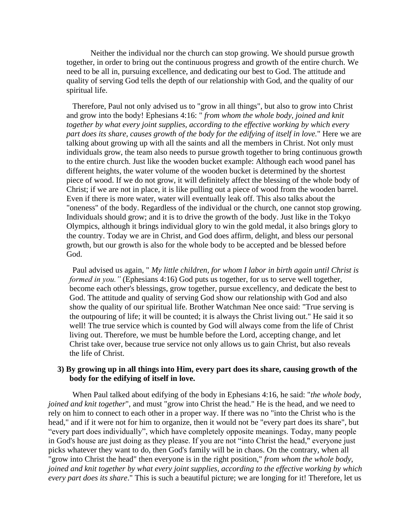Neither the individual nor the church can stop growing. We should pursue growth together, in order to bring out the continuous progress and growth of the entire church. We need to be all in, pursuing excellence, and dedicating our best to God. The attitude and quality of serving God tells the depth of our relationship with God, and the quality of our spiritual life.

Therefore, Paul not only advised us to "grow in all things", but also to grow into Christ and grow into the body! Ephesians 4:16: " *from whom the whole body, joined and knit together by what every joint supplies, according to the effective working by which every part does its share, causes growth of the body for the edifying of itself in love.*" Here we are talking about growing up with all the saints and all the members in Christ. Not only must individuals grow, the team also needs to pursue growth together to bring continuous growth to the entire church. Just like the wooden bucket example: Although each wood panel has different heights, the water volume of the wooden bucket is determined by the shortest piece of wood. If we do not grow, it will definitely affect the blessing of the whole body of Christ; if we are not in place, it is like pulling out a piece of wood from the wooden barrel. Even if there is more water, water will eventually leak off. This also talks about the "oneness" of the body. Regardless of the individual or the church, one cannot stop growing. Individuals should grow; and it is to drive the growth of the body. Just like in the Tokyo Olympics, although it brings individual glory to win the gold medal, it also brings glory to the country. Today we are in Christ, and God does affirm, delight, and bless our personal growth, but our growth is also for the whole body to be accepted and be blessed before God.

Paul advised us again, " *My little children, for whom I labor in birth again until Christ is formed in you.*" (Ephesians 4:16) God puts us together, for us to serve well together, become each other's blessings, grow together, pursue excellency, and dedicate the best to God. The attitude and quality of serving God show our relationship with God and also show the quality of our spiritual life. Brother Watchman Nee once said: "True serving is the outpouring of life; it will be counted; it is always the Christ living out." He said it so well! The true service which is counted by God will always come from the life of Christ living out. Therefore, we must be humble before the Lord, accepting change, and let Christ take over, because true service not only allows us to gain Christ, but also reveals the life of Christ.

#### **3) By growing up in all things into Him, every part does its share, causing growth of the body for the edifying of itself in love.**

When Paul talked about edifying of the body in Ephesians 4:16, he said: "*the whole body, joined and knit together*", and must "grow into Christ the head." He is the head, and we need to rely on him to connect to each other in a proper way. If there was no "into the Christ who is the head," and if it were not for him to organize, then it would not be "every part does its share", but "every part does individually", which have completely opposite meanings. Today, many people in God's house are just doing as they please. If you are not "into Christ the head," everyone just picks whatever they want to do, then God's family will be in chaos. On the contrary, when all "grow into Christ the head" then everyone is in the right position," *from whom the whole body, joined and knit together by what every joint supplies, according to the effective working by which every part does its share*." This is such a beautiful picture; we are longing for it! Therefore, let us